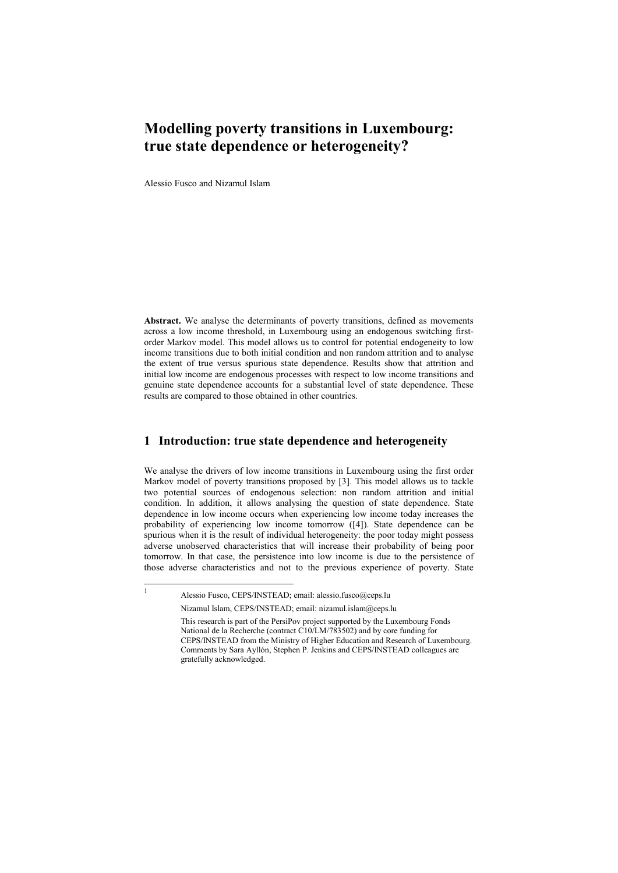# **Modelling poverty transitions in Luxembourg: true state dependence or heterogeneity?**

Alessio Fusco and Nizamul Islam

**Abstract.** We analyse the determinants of poverty transitions, defined as movements across a low income threshold, in Luxembourg using an endogenous switching firstorder Markov model. This model allows us to control for potential endogeneity to low income transitions due to both initial condition and non random attrition and to analyse the extent of true versus spurious state dependence. Results show that attrition and initial low income are endogenous processes with respect to low income transitions and genuine state dependence accounts for a substantial level of state dependence. These results are compared to those obtained in other countries.

## **1 Introduction: true state dependence and heterogeneity**

We analyse the drivers of low income transitions in Luxembourg using the first order Markov model of poverty transitions proposed by [3]. This model allows us to tackle two potential sources of endogenous selection: non random attrition and initial condition. In addition, it allows analysing the question of state dependence. State dependence in low income occurs when experiencing low income today increases the probability of experiencing low income tomorrow ([4]). State dependence can be spurious when it is the result of individual heterogeneity: the poor today might possess adverse unobserved characteristics that will increase their probability of being poor tomorrow. In that case, the persistence into low income is due to the persistence of those adverse characteristics and not to the previous experience of poverty. State

 $\frac{1}{1}$ 

Alessio Fusco, CEPS/INSTEAD; email: alessio.fusco@ceps.lu Nizamul Islam, CEPS/INSTEAD; email: nizamul.islam@ceps.lu

This research is part of the PersiPov project supported by the Luxembourg Fonds National de la Recherche (contract C10/LM/783502) and by core funding for CEPS/INSTEAD from the Ministry of Higher Education and Research of Luxembourg. Comments by Sara Ayllón, Stephen P. Jenkins and CEPS/INSTEAD colleagues are gratefully acknowledged.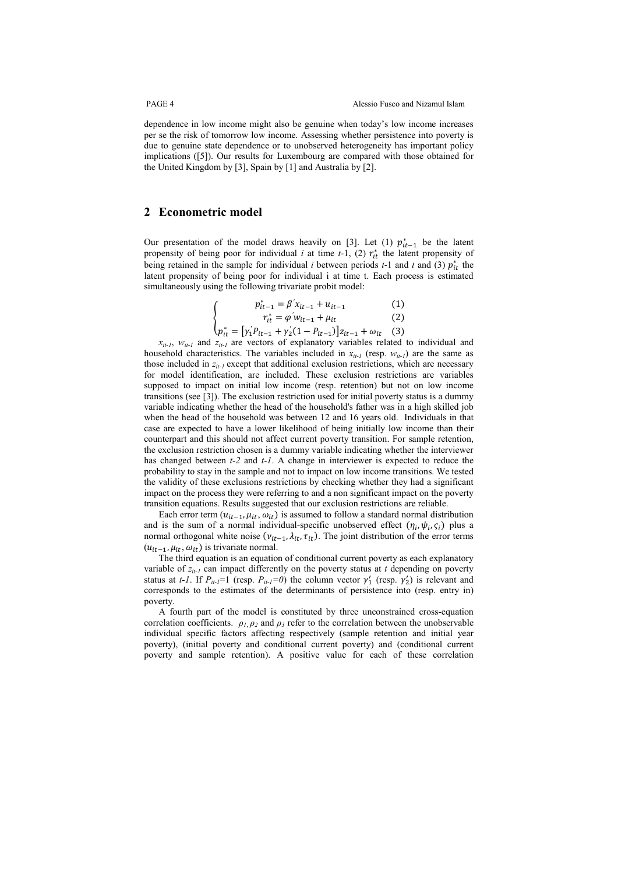dependence in low income might also be genuine when today's low income increases per se the risk of tomorrow low income. Assessing whether persistence into poverty is due to genuine state dependence or to unobserved heterogeneity has important policy implications ([5]). Our results for Luxembourg are compared with those obtained for the United Kingdom by [3], Spain by [1] and Australia by [2].

#### **2 Econometric model**

Our presentation of the model draws heavily on [3]. Let (1)  $p_{it-1}^*$  be the latent propensity of being poor for individual  $i$  at time  $t-1$ , (2)  $r_{it}^*$  the latent propensity of being retained in the sample for individual *i* between periods  $t-1$  and  $t$  and (3)  $p_{it}^*$  the latent propensity of being poor for individual i at time t. Each process is estimated simultaneously using the following trivariate probit model:

$$
\begin{cases}\n p_{it-1}^* = \beta' x_{it-1} + u_{it-1} \tag{1} \\
r_{it}^* = \varphi' w_{it-1} + \mu_{it} \tag{2} \\
p_{it}^* = [ \gamma_1' P_{it-1} + \gamma_2' (1 - P_{it-1})] z_{it-1} + \omega_{it} \tag{3}\n\end{cases}
$$

*xit-1*, *wit-1* and *zit-1* are vectors of explanatory variables related to individual and household characteristics. The variables included in  $x_{it-1}$  (resp.  $w_{it-1}$ ) are the same as those included in  $z_{it-1}$  except that additional exclusion restrictions, which are necessary for model identification, are included. These exclusion restrictions are variables supposed to impact on initial low income (resp. retention) but not on low income transitions (see [3]). The exclusion restriction used for initial poverty status is a dummy variable indicating whether the head of the household's father was in a high skilled job when the head of the household was between 12 and 16 years old. Individuals in that case are expected to have a lower likelihood of being initially low income than their counterpart and this should not affect current poverty transition. For sample retention, the exclusion restriction chosen is a dummy variable indicating whether the interviewer has changed between *t-2* and *t-1*. A change in interviewer is expected to reduce the probability to stay in the sample and not to impact on low income transitions. We tested the validity of these exclusions restrictions by checking whether they had a significant impact on the process they were referring to and a non significant impact on the poverty transition equations. Results suggested that our exclusion restrictions are reliable.

Each error term  $(u_{it-1}, u_{it}, \omega_{it})$  is assumed to follow a standard normal distribution and is the sum of a normal individual-specific unobserved effect  $(\eta_i, \psi_i, \zeta_i)$  plus a normal orthogonal white noise  $(v_{it-1}, \lambda_{it}, \tau_{it})$ . The joint distribution of the error terms  $(u_{it-1}, \mu_{it}, \omega_{it})$  is trivariate normal.

The third equation is an equation of conditional current poverty as each explanatory variable of *zit-1* can impact differently on the poverty status at *t* depending on poverty status at *t-1*. If  $P_{it-1} = 1$  (resp.  $P_{it-1} = 0$ ) the column vector  $\gamma'_1$  (resp.  $\gamma'_2$ ) is relevant and corresponds to the estimates of the determinants of persistence into (resp. entry in) poverty.

A fourth part of the model is constituted by three unconstrained cross-equation correlation coefficients.  $\rho_l$ ,  $\rho_2$  and  $\rho_3$  refer to the correlation between the unobservable individual specific factors affecting respectively (sample retention and initial year poverty), (initial poverty and conditional current poverty) and (conditional current poverty and sample retention). A positive value for each of these correlation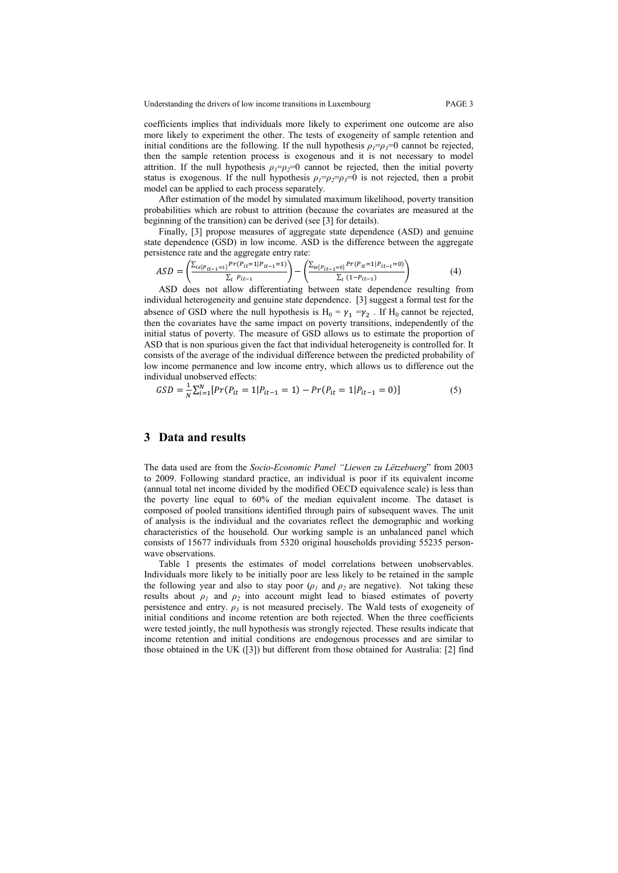Understanding the drivers of low income transitions in Luxembourg PAGE 3

coefficients implies that individuals more likely to experiment one outcome are also more likely to experiment the other. The tests of exogeneity of sample retention and initial conditions are the following. If the null hypothesis  $\rho_1 = \rho_3 = 0$  cannot be rejected, then the sample retention process is exogenous and it is not necessary to model attrition. If the null hypothesis  $\rho_1 = \rho_2 = 0$  cannot be rejected, then the initial poverty status is exogenous. If the null hypothesis  $\rho_1 = \rho_2 = \rho_3 = 0$  is not rejected, then a probit model can be applied to each process separately.

After estimation of the model by simulated maximum likelihood, poverty transition probabilities which are robust to attrition (because the covariates are measured at the beginning of the transition) can be derived (see [3] for details).

Finally, [3] propose measures of aggregate state dependence (ASD) and genuine state dependence (GSD) in low income. ASD is the difference between the aggregate persistence rate and the aggregate entry rate:

$$
ASD = \left(\frac{\sum_{i \in [P_{it-1}=1]} Pr(P_{it}=1|P_{it-1}=1)}{\sum_{i} P_{it-1}}\right) - \left(\frac{\sum_{i \in [P_{it-1}=0]} Pr(P_{it}=1|P_{it-1}=0)}{\sum_{i} (1-P_{it-1})}\right) \tag{4}
$$

ASD does not allow differentiating between state dependence resulting from individual heterogeneity and genuine state dependence. [3] suggest a formal test for the absence of GSD where the null hypothesis is  $H_0 = \gamma_1 = \gamma_2$ . If  $H_0$  cannot be rejected, then the covariates have the same impact on poverty transitions, independently of the initial status of poverty. The measure of GSD allows us to estimate the proportion of ASD that is non spurious given the fact that individual heterogeneity is controlled for. It consists of the average of the individual difference between the predicted probability of low income permanence and low income entry, which allows us to difference out the individual unobserved effects:

$$
GSD = \frac{1}{N} \sum_{i=1}^{N} [Pr(P_{it} = 1 | P_{it-1} = 1) - Pr(P_{it} = 1 | P_{it-1} = 0)] \tag{5}
$$

### **3 Data and results**

The data used are from the *Socio-Economic Panel "Liewen zu Lëtzebuerg*" from 2003 to 2009. Following standard practice, an individual is poor if its equivalent income (annual total net income divided by the modified OECD equivalence scale) is less than the poverty line equal to 60% of the median equivalent income. The dataset is composed of pooled transitions identified through pairs of subsequent waves. The unit of analysis is the individual and the covariates reflect the demographic and working characteristics of the household. Our working sample is an unbalanced panel which consists of 15677 individuals from 5320 original households providing 55235 personwave observations.

Table 1 presents the estimates of model correlations between unobservables. Individuals more likely to be initially poor are less likely to be retained in the sample the following year and also to stay poor  $(\rho_1$  and  $\rho_2$  are negative). Not taking these results about  $\rho_1$  and  $\rho_2$  into account might lead to biased estimates of poverty persistence and entry.  $\rho_3$  is not measured precisely. The Wald tests of exogeneity of initial conditions and income retention are both rejected. When the three coefficients were tested jointly, the null hypothesis was strongly rejected. These results indicate that income retention and initial conditions are endogenous processes and are similar to those obtained in the UK ([3]) but different from those obtained for Australia: [2] find